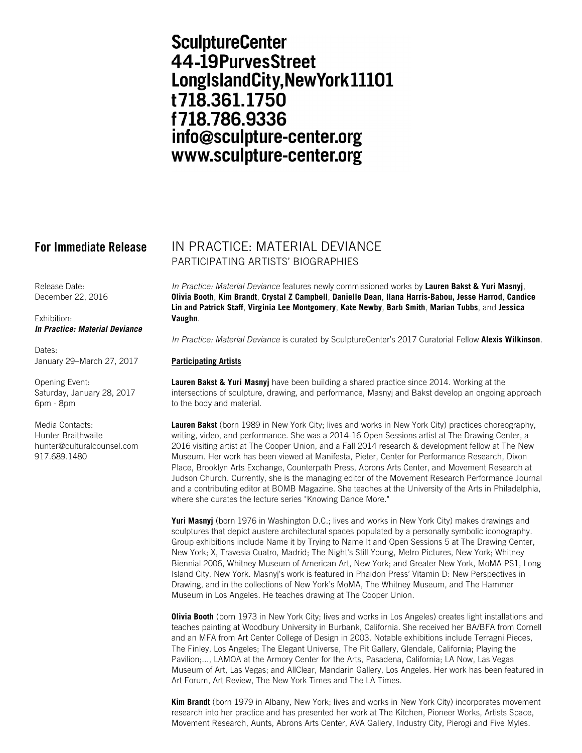# **SculptureCenter** 44-19PurvesStreet LongIslandCity, New York 11101 t718.361.1750 f718.786.9336 info@sculpture-center.org www.sculpture-center.org

Release Date: December 22, 2016

Exhibition: *In Practice: Material Deviance*

Dates: January 29–March 27, 2017

Opening Event: Saturday, January 28, 2017 6pm - 8pm

Media Contacts: Hunter Braithwaite hunter@culturalcounsel.com 917.689.1480

## **For Immediate Release** IN PRACTICE: MATERIAL DEVIANCE PARTICIPATING ARTISTS' BIOGRAPHIES

*In Practice: Material Deviance* features newly commissioned works by **Lauren Bakst & Yuri Masnyj**, **Olivia Booth**, **Kim Brandt**, **Crystal Z Campbell**, **Danielle Dean**, **Ilana Harris-Babou, Jesse Harrod**, **Candice Lin and Patrick Staff**, **Virginia Lee Montgomery**, **Kate Newby**, **Barb Smith**, **Marian Tubbs**, and **Jessica Vaughn**.

*In Practice: Material Deviance* is curated by SculptureCenter's 2017 Curatorial Fellow **Alexis Wilkinson**.

### **Participating Artists**

**Lauren Bakst & Yuri Masnyj** have been building a shared practice since 2014. Working at the intersections of sculpture, drawing, and performance, Masnyj and Bakst develop an ongoing approach to the body and material.

**Lauren Bakst** (born 1989 in New York City; lives and works in New York City) practices choreography, writing, video, and performance. She was a 2014-16 Open Sessions artist at The Drawing Center, a 2016 visiting artist at The Cooper Union, and a Fall 2014 research & development fellow at The New Museum. Her work has been viewed at Manifesta, Pieter, Center for Performance Research, Dixon Place, Brooklyn Arts Exchange, Counterpath Press, Abrons Arts Center, and Movement Research at Judson Church. Currently, she is the managing editor of the Movement Research Performance Journal and a contributing editor at BOMB Magazine. She teaches at the University of the Arts in Philadelphia, where she curates the lecture series "Knowing Dance More."

**Yuri Masnyj** (born 1976 in Washington D.C.; lives and works in New York City) makes drawings and sculptures that depict austere architectural spaces populated by a personally symbolic iconography. Group exhibitions include Name it by Trying to Name It and Open Sessions 5 at The Drawing Center, New York; X, Travesia Cuatro, Madrid; The Night's Still Young, Metro Pictures, New York; Whitney Biennial 2006, Whitney Museum of American Art, New York; and Greater New York, MoMA PS1, Long Island City, New York. Masnyj's work is featured in Phaidon Press' Vitamin D: New Perspectives in Drawing, and in the collections of New York's MoMA, The Whitney Museum, and The Hammer Museum in Los Angeles. He teaches drawing at The Cooper Union.

**Olivia Booth** (born 1973 in New York City; lives and works in Los Angeles) creates light installations and teaches painting at Woodbury University in Burbank, California. She received her BA/BFA from Cornell and an MFA from Art Center College of Design in 2003. Notable exhibitions include Terragni Pieces, The Finley, Los Angeles; The Elegant Universe, The Pit Gallery, Glendale, California; Playing the Pavilion;..., LAMOA at the Armory Center for the Arts, Pasadena, California; LA Now, Las Vegas Museum of Art, Las Vegas; and AllClear, Mandarin Gallery, Los Angeles. Her work has been featured in Art Forum, Art Review, The New York Times and The LA Times.

**Kim Brandt** (born 1979 in Albany, New York; lives and works in New York City) incorporates movement research into her practice and has presented her work at The Kitchen, Pioneer Works, Artists Space, Movement Research, Aunts, Abrons Arts Center, AVA Gallery, Industry City, Pierogi and Five Myles.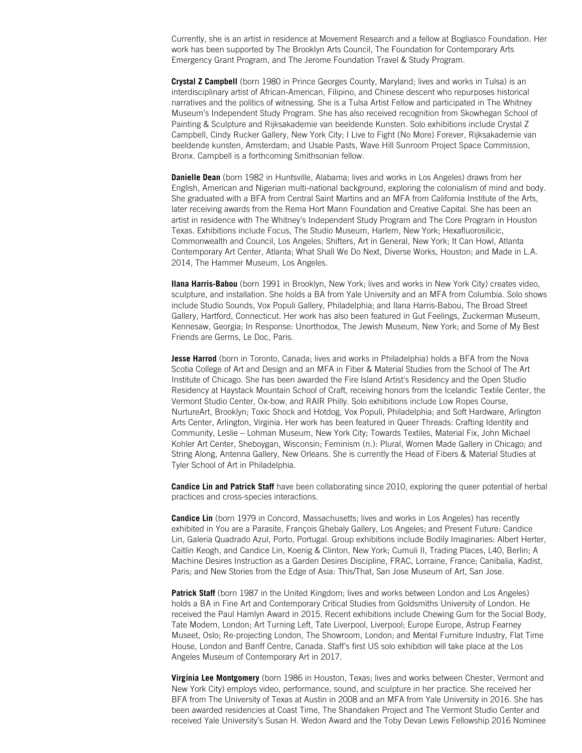Currently, she is an artist in residence at Movement Research and a fellow at Bogliasco Foundation. Her work has been supported by The Brooklyn Arts Council, The Foundation for Contemporary Arts Emergency Grant Program, and The Jerome Foundation Travel & Study Program.

**Crystal Z Campbell** (born 1980 in Prince Georges County, Maryland; lives and works in Tulsa) is an interdisciplinary artist of African-American, Filipino, and Chinese descent who repurposes historical narratives and the politics of witnessing. She is a Tulsa Artist Fellow and participated in The Whitney Museum's Independent Study Program. She has also received recognition from Skowhegan School of Painting & Sculpture and Rijksakademie van beeldende Kunsten. Solo exhibitions include Crystal Z Campbell, Cindy Rucker Gallery, New York City; I Live to Fight (No More) Forever, Rijksakademie van beeldende kunsten, Amsterdam; and Usable Pasts, Wave Hill Sunroom Project Space Commission, Bronx. Campbell is a forthcoming Smithsonian fellow.

**Danielle Dean** (born 1982 in Huntsville, Alabama; lives and works in Los Angeles) draws from her English, American and Nigerian multi-national background, exploring the colonialism of mind and body. She graduated with a BFA from Central Saint Martins and an MFA from California Institute of the Arts, later receiving awards from the Rema Hort Mann Foundation and Creative Capital. She has been an artist in residence with The Whitney's Independent Study Program and The Core Program in Houston Texas. Exhibitions include Focus, The Studio Museum, Harlem, New York; Hexafluorosilicic, Commonwealth and Council, Los Angeles; Shifters, Art in General, New York; It Can Howl, Atlanta Contemporary Art Center, Atlanta; What Shall We Do Next, Diverse Works, Houston; and Made in L.A. 2014, The Hammer Museum, Los Angeles.

**Ilana Harris-Babou** (born 1991 in Brooklyn, New York; lives and works in New York City) creates video, sculpture, and installation. She holds a BA from Yale University and an MFA from Columbia. Solo shows include Studio Sounds, Vox Populi Gallery, Philadelphia; and Ilana Harris-Babou, The Broad Street Gallery, Hartford, Connecticut. Her work has also been featured in Gut Feelings, Zuckerman Museum, Kennesaw, Georgia; In Response: Unorthodox, The Jewish Museum, New York; and Some of My Best Friends are Germs, Le Doc, Paris.

**Jesse Harrod** (born in Toronto, Canada; lives and works in Philadelphia) holds a BFA from the Nova Scotia College of Art and Design and an MFA in Fiber & Material Studies from the School of The Art Institute of Chicago. She has been awarded the Fire Island Artist's Residency and the Open Studio Residency at Haystack Mountain School of Craft, receiving honors from the Icelandic Textile Center, the Vermont Studio Center, Ox-bow, and RAIR Philly. Solo exhibitions include Low Ropes Course, NurtureArt, Brooklyn; Toxic Shock and Hotdog, Vox Populi, Philadelphia; and Soft Hardware, Arlington Arts Center, Arlington, Virginia. Her work has been featured in Queer Threads: Crafting Identity and Community, Leslie – Lohman Museum, New York City; Towards Textiles, Material Fix, John Michael Kohler Art Center, Sheboygan, Wisconsin; Feminism (n.): Plural, Women Made Gallery in Chicago; and String Along, Antenna Gallery, New Orleans. She is currently the Head of Fibers & Material Studies at Tyler School of Art in Philadelphia.

**Candice Lin and Patrick Staff** have been collaborating since 2010, exploring the queer potential of herbal practices and cross-species interactions.

**Candice Lin** (born 1979 in Concord, Massachusetts; lives and works in Los Angeles) has recently exhibited in You are a Parasite, François Ghebaly Gallery, Los Angeles; and Present Future: Candice Lin, Galeria Quadrado Azul, Porto, Portugal. Group exhibitions include Bodily Imaginaries: Albert Herter, Caitlin Keogh, and Candice Lin, Koenig & Clinton, New York; Cumuli II, Trading Places, L40, Berlin; A Machine Desires Instruction as a Garden Desires Discipline, FRAC, Lorraine, France; Canibalia, Kadist, Paris; and New Stories from the Edge of Asia: This/That, San Jose Museum of Art, San Jose.

**Patrick Staff** (born 1987 in the United Kingdom; lives and works between London and Los Angeles) holds a BA in Fine Art and Contemporary Critical Studies from Goldsmiths University of London. He received the Paul Hamlyn Award in 2015. Recent exhibitions include Chewing Gum for the Social Body, Tate Modern, London; Art Turning Left, Tate Liverpool, Liverpool; Europe Europe, Astrup Fearney Museet, Oslo; Re-projecting London, The Showroom, London; and Mental Furniture Industry, Flat Time House, London and Banff Centre, Canada. Staff's first US solo exhibition will take place at the Los Angeles Museum of Contemporary Art in 2017.

**Virginia Lee Montgomery** (born 1986 in Houston, Texas; lives and works between Chester, Vermont and New York City) employs video, performance, sound, and sculpture in her practice. She received her BFA from The University of Texas at Austin in 2008 and an MFA from Yale University in 2016. She has been awarded residencies at Coast Time, The Shandaken Project and The Vermont Studio Center and received Yale University's Susan H. Wedon Award and the Toby Devan Lewis Fellowship 2016 Nominee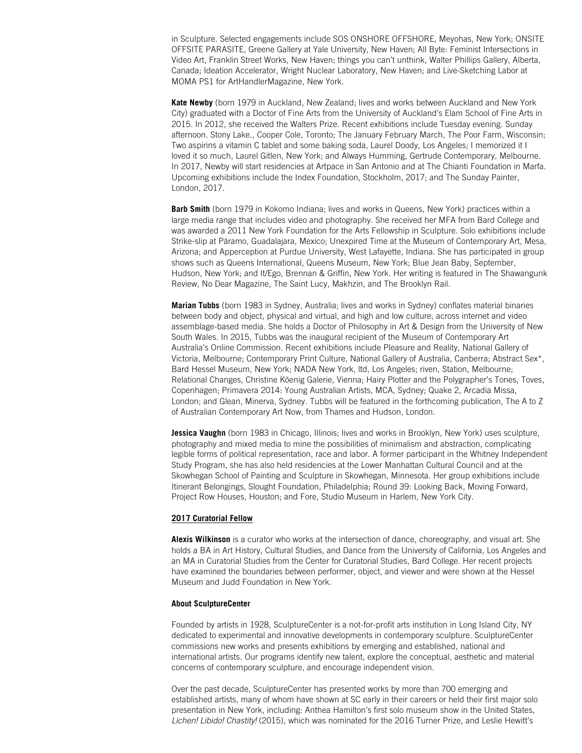in Sculpture. Selected engagements include SOS ONSHORE OFFSHORE, Meyohas, New York; ONSITE OFFSITE PARASITE, Greene Gallery at Yale University, New Haven; All Byte: Feminist Intersections in Video Art, Franklin Street Works, New Haven; things you can't unthink, Walter Phillips Gallery, Alberta, Canada; Ideation Accelerator, Wright Nuclear Laboratory, New Haven; and Live-Sketching Labor at MOMA PS1 for ArtHandlerMagazine, New York.

**Kate Newby** (born 1979 in Auckland, New Zealand; lives and works between Auckland and New York City) graduated with a Doctor of Fine Arts from the University of Auckland's Elam School of Fine Arts in 2015. In 2012, she received the Walters Prize. Recent exhibitions include Tuesday evening. Sunday afternoon. Stony Lake., Cooper Cole, Toronto; The January February March, The Poor Farm, Wisconsin; Two aspirins a vitamin C tablet and some baking soda, Laurel Doody, Los Angeles; I memorized it I loved it so much, Laurel Gitlen, New York; and Always Humming, Gertrude Contemporary, Melbourne. In 2017, Newby will start residencies at Artpace in San Antonio and at The Chianti Foundation in Marfa. Upcoming exhibitions include the Index Foundation, Stockholm, 2017; and The Sunday Painter, London, 2017.

**Barb Smith** (born 1979 in Kokomo Indiana; lives and works in Queens, New York) practices within a large media range that includes video and photography. She received her MFA from Bard College and was awarded a 2011 New York Foundation for the Arts Fellowship in Sculpture. Solo exhibitions include Strike-slip at Páramo, Guadalajara, Mexico; Unexpired Time at the Museum of Contemporary Art, Mesa, Arizona; and Apperception at Purdue University, West Lafayette, Indiana. She has participated in group shows such as Queens International, Queens Museum, New York; Blue Jean Baby, September, Hudson, New York; and It/Ego, Brennan & Griffin, New York. Her writing is featured in The Shawangunk Review, No Dear Magazine, The Saint Lucy, Makhzin, and The Brooklyn Rail.

**Marian Tubbs** (born 1983 in Sydney, Australia; lives and works in Sydney) conflates material binaries between body and object, physical and virtual, and high and low culture, across internet and video assemblage-based media. She holds a Doctor of Philosophy in Art & Design from the University of New South Wales. In 2015, Tubbs was the inaugural recipient of the Museum of Contemporary Art Australia's Online Commission. Recent exhibitions include Pleasure and Reality, National Gallery of Victoria, Melbourne; Contemporary Print Culture, National Gallery of Australia, Canberra; Abstract Sex\*, Bard Hessel Museum, New York; NADA New York, ltd, Los Angeles; riven, Station, Melbourne; Relational Changes, Christine Köenig Galerie, Vienna; Hairy Plotter and the Polygrapher's Tones, Toves, Copenhagen; Primavera 2014: Young Australian Artists, MCA, Sydney; Quake 2, Arcadia Missa, London; and Glean, Minerva, Sydney. Tubbs will be featured in the forthcoming publication, The A to Z of Australian Contemporary Art Now, from Thames and Hudson, London.

**Jessica Vaughn** (born 1983 in Chicago, Illinois; lives and works in Brooklyn, New York) uses sculpture, photography and mixed media to mine the possibilities of minimalism and abstraction, complicating legible forms of political representation, race and labor. A former participant in the Whitney Independent Study Program, she has also held residencies at the Lower Manhattan Cultural Council and at the Skowhegan School of Painting and Sculpture in Skowhegan, Minnesota. Her group exhibitions include Itinerant Belongings, Slought Foundation, Philadelphia; Round 39: Looking Back, Moving Forward, Project Row Houses, Houston; and Fore, Studio Museum in Harlem, New York City.

#### **2017 Curatorial Fellow**

**Alexis Wilkinson** is a curator who works at the intersection of dance, choreography, and visual art. She holds a BA in Art History, Cultural Studies, and Dance from the University of California, Los Angeles and an MA in Curatorial Studies from the Center for Curatorial Studies, Bard College. Her recent projects have examined the boundaries between performer, object, and viewer and were shown at the Hessel Museum and Judd Foundation in New York.

#### **About SculptureCenter**

Founded by artists in 1928, SculptureCenter is a not-for-profit arts institution in Long Island City, NY dedicated to experimental and innovative developments in contemporary sculpture. SculptureCenter commissions new works and presents exhibitions by emerging and established, national and international artists. Our programs identify new talent, explore the conceptual, aesthetic and material concerns of contemporary sculpture, and encourage independent vision.

Over the past decade, SculptureCenter has presented works by more than 700 emerging and established artists, many of whom have shown at SC early in their careers or held their first major solo presentation in New York, including: Anthea Hamilton's first solo museum show in the United States, *Lichen! Libido! Chastity!* (2015), which was nominated for the 2016 Turner Prize, and Leslie Hewitt's